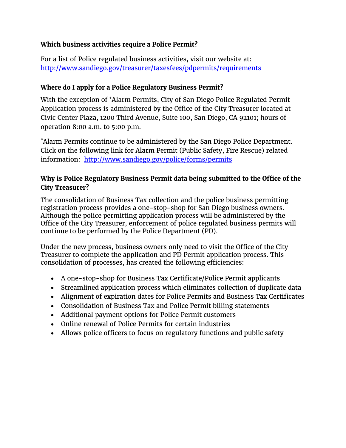### **Which business activities require a Police Permit?**

For a list of Police regulated business activities, visit our website at: <http://www.sandiego.gov/treasurer/taxesfees/pdpermits/requirements>

#### **Where do I apply for a Police Regulatory Business Permit?**

With the exception of \*Alarm Permits, City of San Diego Police Regulated Permit Application process is administered by the Office of the City Treasurer located at Civic Center Plaza, 1200 Third Avenue, Suite 100, San Diego, CA 92101; hours of operation 8:00 a.m. to 5:00 p.m.

\*Alarm Permits continue to be administered by the San Diego Police Department. Click on the following link for Alarm Permit (Public Safety, Fire Rescue) related information: <http://www.sandiego.gov/police/forms/permits>

# **Why is Police Regulatory Business Permit data being submitted to the Office of the City Treasurer?**

The consolidation of Business Tax collection and the police business permitting registration process provides a one-stop-shop for San Diego business owners. Although the police permitting application process will be administered by the Office of the City Treasurer, enforcement of police regulated business permits will continue to be performed by the Police Department (PD).

Under the new process, business owners only need to visit the Office of the City Treasurer to complete the application and PD Permit application process. This consolidation of processes, has created the following efficiencies:

- A one-stop-shop for Business Tax Certificate/Police Permit applicants
- Streamlined application process which eliminates collection of duplicate data
- Alignment of expiration dates for Police Permits and Business Tax Certificates
- Consolidation of Business Tax and Police Permit billing statements
- Additional payment options for Police Permit customers
- Online renewal of Police Permits for certain industries
- Allows police officers to focus on regulatory functions and public safety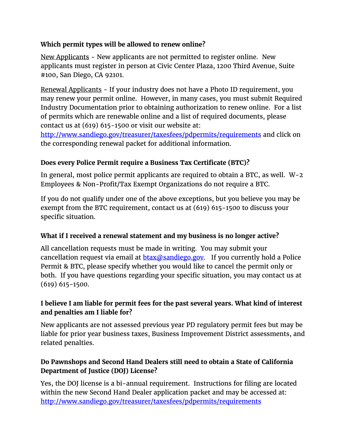# **Which permit types will be allowed to renew online?**

New Applicants - New applicants are not permitted to register online. New applicants must register in person at Civic Center Plaza, 1200 Third Avenue, Suite #100, San Diego, CA 92101.

Renewal Applicants - If your industry does not have a Photo ID requirement, you may renew your permit online. However, in many cases, you must submit Required Industry Documentation prior to obtaining authorization to renew online. For a list of permits which are renewable online and a list of required documents, please contact us at (619) 615-1500 or visit our website at:

<http://www.sandiego.gov/treasurer/taxesfees/pdpermits/requirements> and click on the corresponding renewal packet for additional information.

# **Does every Police Permit require a Business Tax Certificate (BTC)?**

In general, most police permit applicants are required to obtain a BTC, as well. W-2 Employees & Non-Profit/Tax Exempt Organizations do not require a BTC.

If you do not qualify under one of the above exceptions, but you believe you may be exempt from the BTC requirement, contact us at (619) 615-1500 to discuss your specific situation.

# **What if I received a renewal statement and my business is no longer active?**

All cancellation requests must be made in writing. You may submit your cancellation request via email at  $b\text{tax@s}$  and  $\text{day}$ . If you currently hold a Police Permit & BTC, please specify whether you would like to cancel the permit only or both. If you have questions regarding your specific situation, you may contact us at (619) 615-1500.

# **I believe I am liable for permit fees for the past several years. What kind of interest and penalties am I liable for?**

New applicants are not assessed previous year PD regulatory permit fees but may be liable for prior year business taxes, Business Improvement District assessments, and related penalties.

# **Do Pawnshops and Second Hand Dealers still need to obtain a State of California Department of Justice (DOJ) License?**

Yes, the DOJ license is a bi-annual requirement. Instructions for filing are located within the new Second Hand Dealer application packet and may be accessed at: <http://www.sandiego.gov/treasurer/taxesfees/pdpermits/requirements>